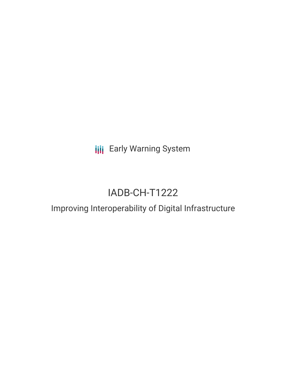**III** Early Warning System

# IADB-CH-T1222

## Improving Interoperability of Digital Infrastructure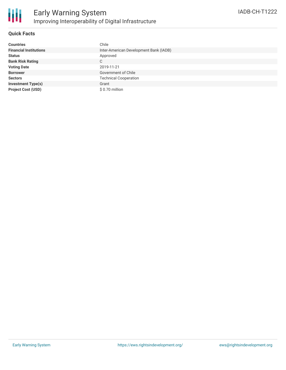

### **Quick Facts**

| <b>Countries</b>              | Chile                                  |
|-------------------------------|----------------------------------------|
| <b>Financial Institutions</b> | Inter-American Development Bank (IADB) |
| <b>Status</b>                 | Approved                               |
| <b>Bank Risk Rating</b>       | C                                      |
| <b>Voting Date</b>            | 2019-11-21                             |
| <b>Borrower</b>               | Government of Chile                    |
| <b>Sectors</b>                | <b>Technical Cooperation</b>           |
| <b>Investment Type(s)</b>     | Grant                                  |
| <b>Project Cost (USD)</b>     | \$0.70 million                         |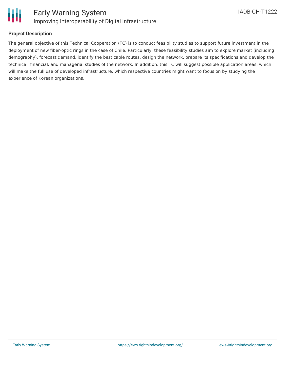

### **Project Description**

The general objective of this Technical Cooperation (TC) is to conduct feasibility studies to support future investment in the deployment of new fiber-optic rings in the case of Chile. Particularly, these feasibility studies aim to explore market (including demography), forecast demand, identify the best cable routes, design the network, prepare its specifications and develop the technical, financial, and managerial studies of the network. In addition, this TC will suggest possible application areas, which will make the full use of developed infrastructure, which respective countries might want to focus on by studying the experience of Korean organizations.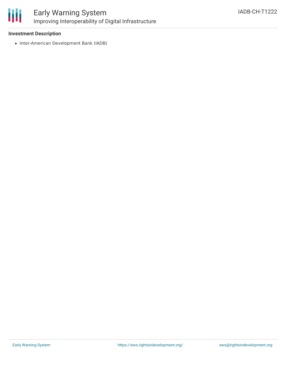

### Early Warning System Improving Interoperability of Digital Infrastructure

### **Investment Description**

• Inter-American Development Bank (IADB)